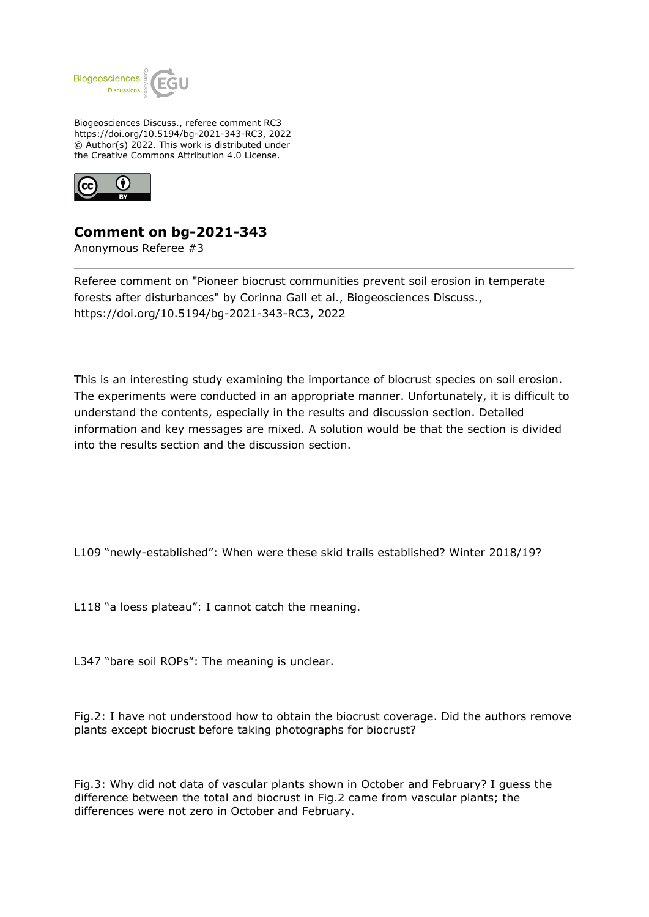

Biogeosciences Discuss., referee comment RC3 https://doi.org/10.5194/bg-2021-343-RC3, 2022 © Author(s) 2022. This work is distributed under the Creative Commons Attribution 4.0 License.



## **Comment on bg-2021-343**

Anonymous Referee #3

Referee comment on "Pioneer biocrust communities prevent soil erosion in temperate forests after disturbances" by Corinna Gall et al., Biogeosciences Discuss., https://doi.org/10.5194/bg-2021-343-RC3, 2022

This is an interesting study examining the importance of biocrust species on soil erosion. The experiments were conducted in an appropriate manner. Unfortunately, it is difficult to understand the contents, especially in the results and discussion section. Detailed information and key messages are mixed. A solution would be that the section is divided into the results section and the discussion section.

L109 "newly-established": When were these skid trails established? Winter 2018/19?

L118 "a loess plateau": I cannot catch the meaning.

L347 "bare soil ROPs": The meaning is unclear.

Fig.2: I have not understood how to obtain the biocrust coverage. Did the authors remove plants except biocrust before taking photographs for biocrust?

Fig.3: Why did not data of vascular plants shown in October and February? I guess the difference between the total and biocrust in Fig.2 came from vascular plants; the differences were not zero in October and February.